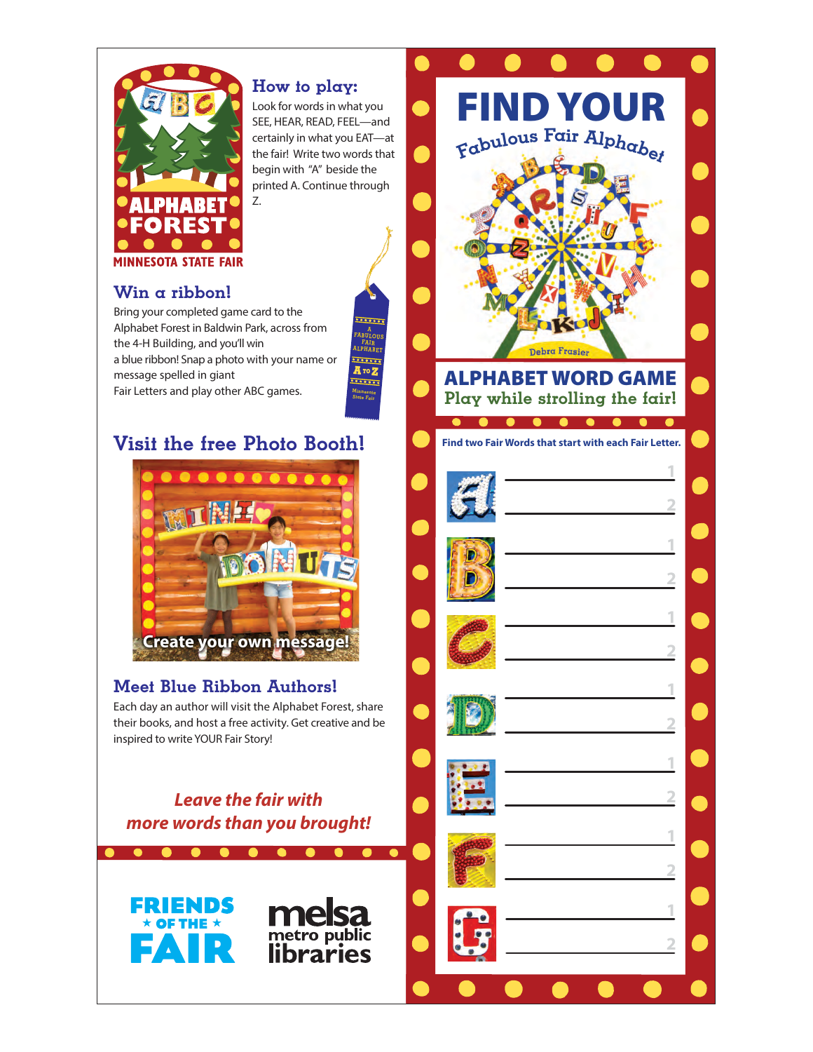

## How to play:

Look for words in what you SEE, HEAR, READ, FEEL—and certainly in what you EAT—at the fair! Write two words that begin with "A" beside the printed A. Continue through

> **A**<sup>TO</sup> **Z** Minnesota State Fair

A FABULOUS FAIR ALPHABET

. . . . . . .

## Win a ribbon!

Bring your completed game card to the Alphabet Forest in Baldwin Park, across from the 4-H Building, and you'll win a blue ribbon! Snap a photo with your name or message spelled in giant Fair Letters and play other ABC games.

## Visit the free Photo Booth!



## Meet Blue Ribbon Authors!

Each day an author will visit the Alphabet Forest, share their books, and host a free activity. Get creative and be inspired to write YOUR Fair Story!

**Leave the fair with more words than you brought!**

metro public



FIND YOU <sup>F</sup>abulou<sup>s</sup> <sup>F</sup>ai<sup>r</sup> <sup>A</sup>lphabe<sup>t</sup> Debra Frasier ALPHABET WORD GAME Play while strolling the fair!  $\bullet$ **Find two Fair Words that start with each Fair Letter.**

**1**

**2**

**1**

**2**

**1**

**2**

**1**

**2**

**1**

**2**

n.

**1**

**2**

**1**

**2**